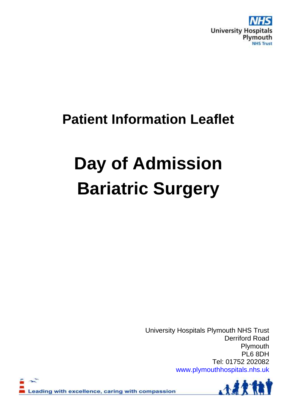

# **Patient Information Leaflet**

# **Day of Admission Bariatric Surgery**

University Hospitals Plymouth NHS Trust Derriford Road Plymouth PL6 8DH Tel: 01752 202082 [www.plymouthhospitals.nhs.uk](http://www.plymouthhospitals.nhs.uk/)



eading with excellence, caring with compassion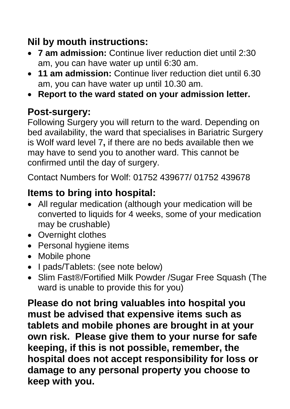# **Nil by mouth instructions:**

- **7 am admission:** Continue liver reduction diet until 2:30 am, you can have water up until 6:30 am.
- **11 am admission:** Continue liver reduction diet until 6.30 am, you can have water up until 10.30 am.
- **Report to the ward stated on your admission letter.**

#### **Post-surgery:**

Following Surgery you will return to the ward. Depending on bed availability, the ward that specialises in Bariatric Surgery is Wolf ward level 7**,** if there are no beds available then we may have to send you to another ward. This cannot be confirmed until the day of surgery.

Contact Numbers for Wolf: 01752 439677/ 01752 439678

# **Items to bring into hospital:**

- All regular medication (although your medication will be converted to liquids for 4 weeks, some of your medication may be crushable)
- Overnight clothes
- Personal hygiene items
- Mobile phone
- I pads/Tablets: (see note below)
- Slim Fast®/Fortified Milk Powder /Sugar Free Squash (The ward is unable to provide this for you)

**Please do not bring valuables into hospital you must be advised that expensive items such as tablets and mobile phones are brought in at your own risk. Please give them to your nurse for safe keeping, if this is not possible, remember, the hospital does not accept responsibility for loss or damage to any personal property you choose to keep with you.**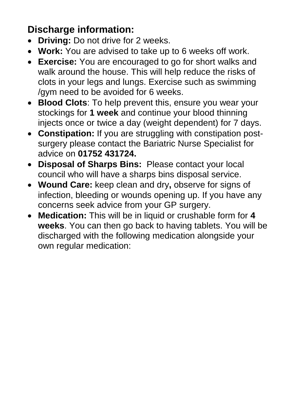### **Discharge information:**

- **Driving:** Do not drive for 2 weeks.
- **Work:** You are advised to take up to 6 weeks off work.
- **Exercise:** You are encouraged to go for short walks and walk around the house. This will help reduce the risks of clots in your legs and lungs. Exercise such as swimming /gym need to be avoided for 6 weeks.
- **Blood Clots**: To help prevent this, ensure you wear your stockings for **1 week** and continue your blood thinning injects once or twice a day (weight dependent) for 7 days.
- **Constipation:** If you are struggling with constipation postsurgery please contact the Bariatric Nurse Specialist for advice on **01752 431724.**
- **Disposal of Sharps Bins:** Please contact your local council who will have a sharps bins disposal service.
- **Wound Care:** keep clean and dry**,** observe for signs of infection, bleeding or wounds opening up. If you have any concerns seek advice from your GP surgery.
- **Medication:** This will be in liquid or crushable form for **4 weeks**. You can then go back to having tablets. You will be discharged with the following medication alongside your own regular medication: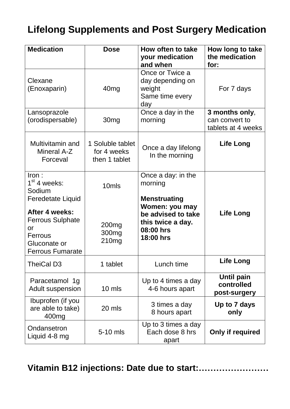#### **Lifelong Supplements and Post Surgery Medication**

| <b>Medication</b>                                                                                     | <b>Dose</b>                                      | How often to take<br>your medication<br>and when                                    | How long to take<br>the medication<br>for:             |
|-------------------------------------------------------------------------------------------------------|--------------------------------------------------|-------------------------------------------------------------------------------------|--------------------------------------------------------|
| Clexane<br>(Enoxaparin)                                                                               | 40 <sub>mg</sub>                                 | Once or Twice a<br>day depending on<br>weight<br>Same time every<br>day             | For 7 days                                             |
| Lansoprazole<br>(orodispersable)                                                                      | 30 <sub>mg</sub>                                 | Once a day in the<br>morning                                                        | 3 months only,<br>can convert to<br>tablets at 4 weeks |
| Multivitamin and<br>Mineral A-Z<br>Forceval                                                           | 1 Soluble tablet<br>for 4 weeks<br>then 1 tablet | Once a day lifelong<br>In the morning                                               | <b>Life Long</b>                                       |
| Iron:<br>$1st$ 4 weeks:<br>Sodium<br><b>Feredetate Liquid</b>                                         | 10 <sub>mls</sub>                                | Once a day: in the<br>morning<br><b>Menstruating</b>                                |                                                        |
| After 4 weeks:<br><b>Ferrous Sulphate</b><br>or<br>Ferrous<br>Gluconate or<br><b>Ferrous Fumarate</b> | 200 <sub>mg</sub><br>300 <sub>mg</sub><br>210mg  | Women: you may<br>be advised to take<br>this twice a day.<br>08:00 hrs<br>18:00 hrs | Life Long                                              |
| TheiCal D3                                                                                            | 1 tablet                                         | Lunch time                                                                          | <b>Life Long</b>                                       |
| Paracetamol 1g<br>Adult suspension                                                                    | 10 mls                                           | Up to 4 times a day<br>4-6 hours apart                                              | Until pain<br>controlled<br>post-surgery               |
| Ibuprofen (if you<br>are able to take)<br>400 <sub>mg</sub>                                           | 20 mls                                           | 3 times a day<br>8 hours apart                                                      | Up to 7 days<br>only                                   |
| Ondansetron<br>Liquid 4-8 mg                                                                          | 5-10 mls                                         | Up to 3 times a day<br>Each dose 8 hrs<br>apart                                     | Only if required                                       |

**Vitamin B12 injections: Date due to start:……………………**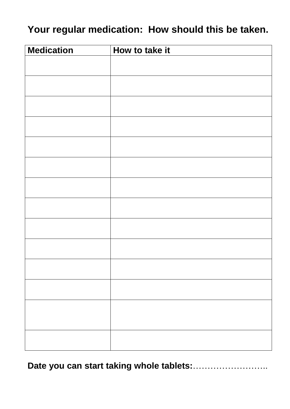#### **Your regular medication: How should this be taken.**

| <b>Medication</b> | How to take it |
|-------------------|----------------|
|                   |                |
|                   |                |
|                   |                |
|                   |                |
|                   |                |
|                   |                |
|                   |                |
|                   |                |
|                   |                |
|                   |                |
|                   |                |
|                   |                |
|                   |                |
|                   |                |
|                   |                |
|                   |                |
|                   |                |
|                   |                |
|                   |                |
|                   |                |
|                   |                |
|                   |                |
|                   |                |
|                   |                |
|                   |                |
|                   |                |

**Date you can start taking whole tablets:**……………………..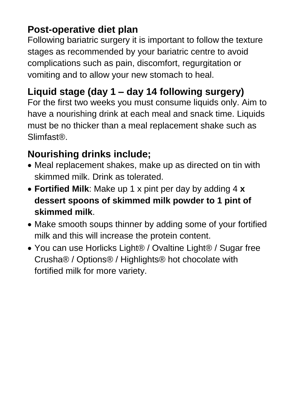#### **Post-operative diet plan**

Following bariatric surgery it is important to follow the texture stages as recommended by your bariatric centre to avoid complications such as pain, discomfort, regurgitation or vomiting and to allow your new stomach to heal.

# **Liquid stage (day 1 – day 14 following surgery)**

For the first two weeks you must consume liquids only. Aim to have a nourishing drink at each meal and snack time. Liquids must be no thicker than a meal replacement shake such as Slimfast®.

# **Nourishing drinks include;**

- Meal replacement shakes, make up as directed on tin with skimmed milk. Drink as tolerated.
- **Fortified Milk**: Make up 1 x pint per day by adding 4 **x dessert spoons of skimmed milk powder to 1 pint of skimmed milk**.
- Make smooth soups thinner by adding some of your fortified milk and this will increase the protein content.
- You can use Horlicks Light® / Ovaltine Light® / Sugar free Crusha® / Options® / Highlights® hot chocolate with fortified milk for more variety.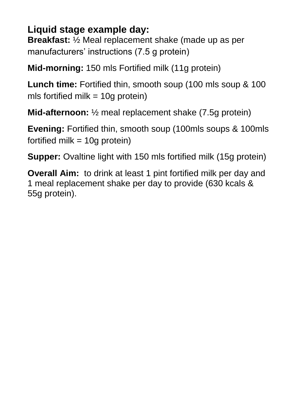#### **Liquid stage example day:**

**Breakfast:** ½ Meal replacement shake (made up as per manufacturers' instructions (7.5 g protein)

**Mid-morning:** 150 mls Fortified milk (11g protein)

**Lunch time:** Fortified thin, smooth soup (100 mls soup & 100 mls fortified milk  $= 10g$  protein)

**Mid-afternoon:** ½ meal replacement shake (7.5g protein)

**Evening:** Fortified thin, smooth soup (100mls soups & 100mls fortified milk  $=$  10g protein)

**Supper:** Ovaltine light with 150 mls fortified milk (15g protein)

**Overall Aim:** to drink at least 1 pint fortified milk per day and 1 meal replacement shake per day to provide (630 kcals & 55g protein).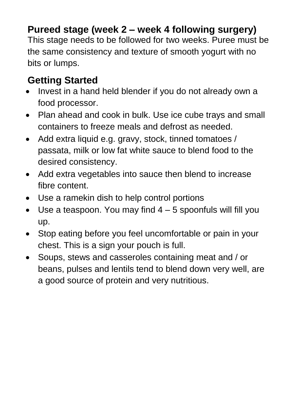#### **Pureed stage (week 2 – week 4 following surgery)**

This stage needs to be followed for two weeks. Puree must be the same consistency and texture of smooth yogurt with no bits or lumps.

#### **Getting Started**

- Invest in a hand held blender if you do not already own a food processor.
- Plan ahead and cook in bulk. Use ice cube trays and small containers to freeze meals and defrost as needed.
- Add extra liquid e.g. gravy, stock, tinned tomatoes / passata, milk or low fat white sauce to blend food to the desired consistency.
- Add extra vegetables into sauce then blend to increase fibre content.
- Use a ramekin dish to help control portions
- $\bullet$  Use a teaspoon. You may find  $4-5$  spoonfuls will fill you up.
- Stop eating before you feel uncomfortable or pain in your chest. This is a sign your pouch is full.
- Soups, stews and casseroles containing meat and / or beans, pulses and lentils tend to blend down very well, are a good source of protein and very nutritious.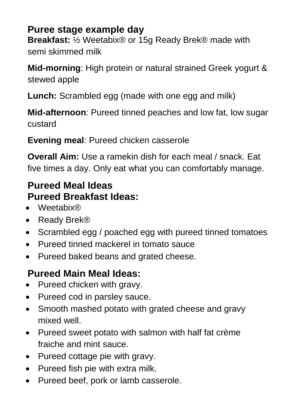#### **Puree stage example day**

**Breakfast:** ½ Weetabix® or 15g Ready Brek® made with semi skimmed milk

**Mid-morning**: High protein or natural strained Greek yogurt & stewed apple

**Lunch:** Scrambled egg (made with one egg and milk)

**Mid-afternoon**: Pureed tinned peaches and low fat, low sugar custard

**Evening meal**: Pureed chicken casserole

**Overall Aim:** Use a ramekin dish for each meal / snack. Eat five times a day. Only eat what you can comfortably manage.

#### **Pureed Meal Ideas Pureed Breakfast Ideas:**

- Weetabix®
- Ready Brek<sup>®</sup>
- Scrambled egg / poached egg with pureed tinned tomatoes
- Pureed tinned mackerel in tomato sauce
- Pureed baked beans and grated cheese.

### **Pureed Main Meal Ideas:**

- Pureed chicken with gravy.
- Pureed cod in parsley sauce.
- Smooth mashed potato with grated cheese and gravy mixed well.
- Pureed sweet potato with salmon with half fat crème fraiche and mint sauce.
- Pureed cottage pie with gravy.
- Pureed fish pie with extra milk.
- Pureed beef, pork or lamb casserole.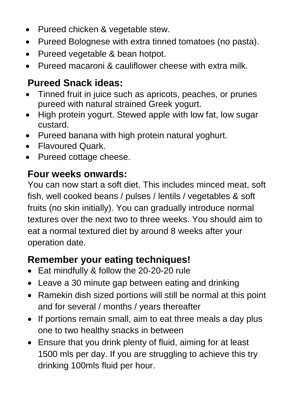- Pureed chicken & vegetable stew.
- Pureed Bolognese with extra tinned tomatoes (no pasta).
- Pureed vegetable & bean hotpot.
- Pureed macaroni & cauliflower cheese with extra milk.

#### **Pureed Snack ideas:**

- Tinned fruit in juice such as apricots, peaches, or prunes pureed with natural strained Greek yogurt.
- High protein yogurt. Stewed apple with low fat, low sugar custard.
- Pureed banana with high protein natural yoghurt.
- Flavoured Quark.
- Pureed cottage cheese.

#### **Four weeks onwards:**

You can now start a soft diet. This includes minced meat, soft fish, well cooked beans / pulses / lentils / vegetables & soft fruits (no skin initially). You can gradually introduce normal textures over the next two to three weeks. You should aim to eat a normal textured diet by around 8 weeks after your operation date.

#### **Remember your eating techniques!**

- Eat mindfully & follow the 20-20-20 rule
- Leave a 30 minute gap between eating and drinking
- Ramekin dish sized portions will still be normal at this point and for several / months / years thereafter
- If portions remain small, aim to eat three meals a day plus one to two healthy snacks in between
- Ensure that you drink plenty of fluid, aiming for at least 1500 mls per day. If you are struggling to achieve this try drinking 100mls fluid per hour.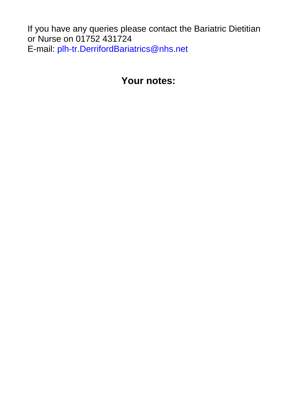If you have any queries please contact the Bariatric Dietitian or Nurse on 01752 431724 E-mail: [plh-tr.DerrifordBariatrics@nhs.net](mailto:plh-tr.DerrifordBariatrics@nhs.net)

#### **Your notes:**